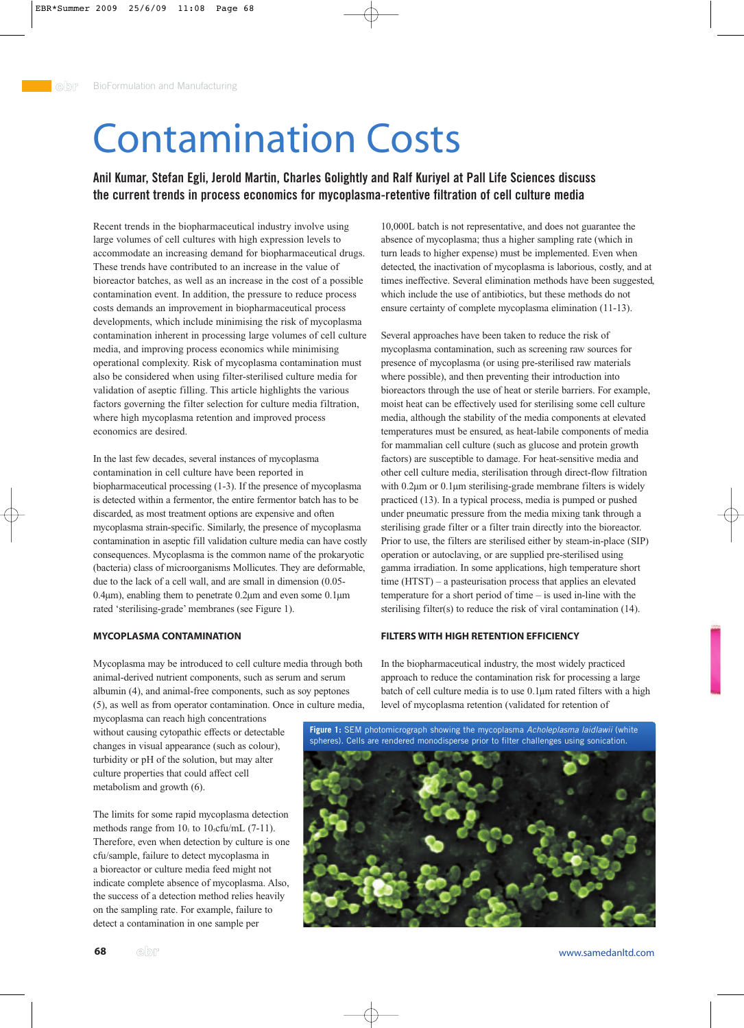# Contamination Costs

## **Anil Kumar, Stefan Egli, Jerold Martin, Charles Golightly and Ralf Kuriyel at Pall Life Sciences discuss the current trends in process economics for mycoplasma-retentive filtration of cell culture media**

Recent trends in the biopharmaceutical industry involve using large volumes of cell cultures with high expression levels to accommodate an increasing demand for biopharmaceutical drugs. These trends have contributed to an increase in the value of bioreactor batches, as well as an increase in the cost of a possible contamination event. In addition, the pressure to reduce process costs demands an improvement in biopharmaceutical process developments, which include minimising the risk of mycoplasma contamination inherent in processing large volumes of cell culture media, and improving process economics while minimising operational complexity. Risk of mycoplasma contamination must also be considered when using filter-sterilised culture media for validation of aseptic filling. This article highlights the various factors governing the filter selection for culture media filtration, where high mycoplasma retention and improved process economics are desired.

In the last few decades, several instances of mycoplasma contamination in cell culture have been reported in biopharmaceutical processing (1-3). If the presence of mycoplasma is detected within a fermentor, the entire fermentor batch has to be discarded, as most treatment options are expensive and often mycoplasma strain-specific. Similarly, the presence of mycoplasma contamination in aseptic fill validation culture media can have costly consequences. Mycoplasma is the common name of the prokaryotic (bacteria) class of microorganisms Mollicutes. They are deformable, due to the lack of a cell wall, and are small in dimension (0.05- 0.4µm), enabling them to penetrate 0.2µm and even some 0.1µm rated 'sterilising-grade' membranes (see Figure 1).

#### **MYCOPLASMA CONTAMINATION**

Mycoplasma may be introduced to cell culture media through both animal-derived nutrient components, such as serum and serum albumin (4), and animal-free components, such as soy peptones (5), as well as from operator contamination. Once in culture media,

mycoplasma can reach high concentrations without causing cytopathic effects or detectable changes in visual appearance (such as colour), turbidity or pH of the solution, but may alter culture properties that could affect cell metabolism and growth (6).

The limits for some rapid mycoplasma detection methods range from  $10<sub>1</sub>$  to  $10<sub>5</sub>$ cfu/mL (7-11). Therefore, even when detection by culture is one cfu/sample, failure to detect mycoplasma in a bioreactor or culture media feed might not indicate complete absence of mycoplasma. Also, the success of a detection method relies heavily on the sampling rate. For example, failure to detect a contamination in one sample per

10,000L batch is not representative, and does not guarantee the absence of mycoplasma; thus a higher sampling rate (which in turn leads to higher expense) must be implemented. Even when detected, the inactivation of mycoplasma is laborious, costly, and at times ineffective. Several elimination methods have been suggested, which include the use of antibiotics, but these methods do not ensure certainty of complete mycoplasma elimination (11-13).

Several approaches have been taken to reduce the risk of mycoplasma contamination, such as screening raw sources for presence of mycoplasma (or using pre-sterilised raw materials where possible), and then preventing their introduction into bioreactors through the use of heat or sterile barriers. For example, moist heat can be effectively used for sterilising some cell culture media, although the stability of the media components at elevated temperatures must be ensured, as heat-labile components of media for mammalian cell culture (such as glucose and protein growth factors) are susceptible to damage. For heat-sensitive media and other cell culture media, sterilisation through direct-flow filtration with 0.2 $\mu$ m or 0.1 $\mu$ m sterilising-grade membrane filters is widely practiced (13). In a typical process, media is pumped or pushed under pneumatic pressure from the media mixing tank through a sterilising grade filter or a filter train directly into the bioreactor. Prior to use, the filters are sterilised either by steam-in-place (SIP) operation or autoclaving, or are supplied pre-sterilised using gamma irradiation. In some applications, high temperature short time (HTST) – a pasteurisation process that applies an elevated temperature for a short period of time – is used in-line with the sterilising filter(s) to reduce the risk of viral contamination (14).

#### **FILTERS WITH HIGH RETENTION EFFICIENCY**

In the biopharmaceutical industry, the most widely practiced approach to reduce the contamination risk for processing a large batch of cell culture media is to use 0.1µm rated filters with a high level of mycoplasma retention (validated for retention of

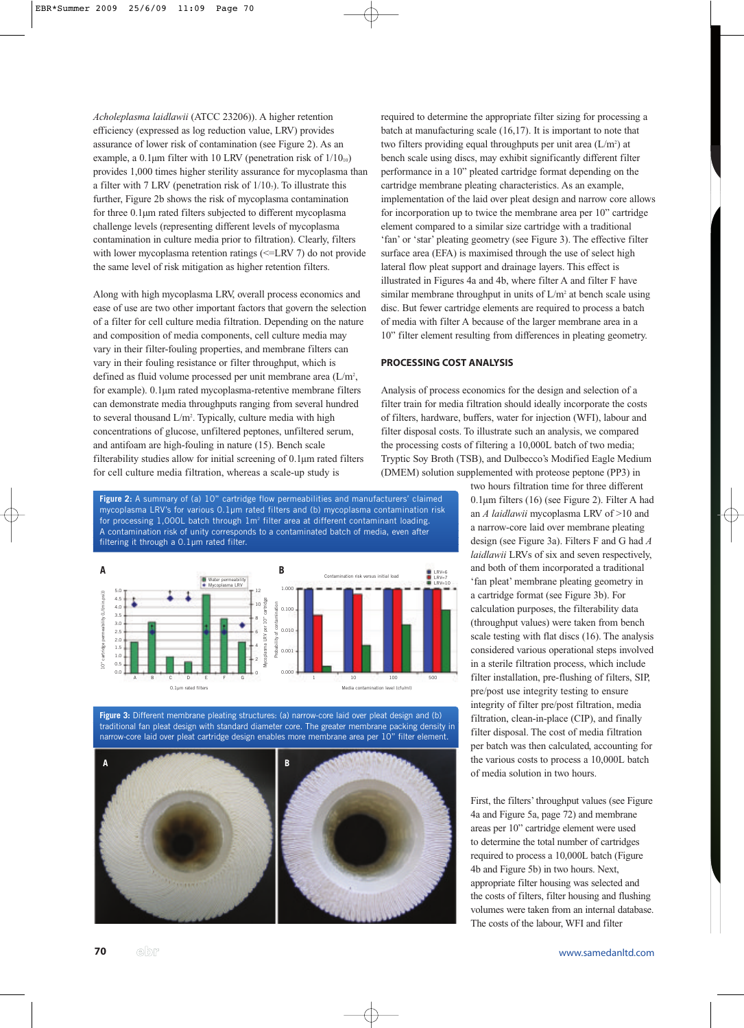*Acholeplasma laidlawii* (ATCC 23206)). A higher retention efficiency (expressed as log reduction value, LRV) provides assurance of lower risk of contamination (see Figure 2). As an example, a 0.1 $\mu$ m filter with 10 LRV (penetration risk of  $1/10<sub>10</sub>$ ) provides 1,000 times higher sterility assurance for mycoplasma than a filter with 7 LRV (penetration risk of  $1/10<sub>7</sub>$ ). To illustrate this further, Figure 2b shows the risk of mycoplasma contamination for three 0.1µm rated filters subjected to different mycoplasma challenge levels (representing different levels of mycoplasma contamination in culture media prior to filtration). Clearly, filters with lower mycoplasma retention ratings (<=LRV 7) do not provide the same level of risk mitigation as higher retention filters.

Along with high mycoplasma LRV, overall process economics and ease of use are two other important factors that govern the selection of a filter for cell culture media filtration. Depending on the nature and composition of media components, cell culture media may vary in their filter-fouling properties, and membrane filters can vary in their fouling resistance or filter throughput, which is defined as fluid volume processed per unit membrane area (L/m<sup>2</sup>, for example). 0.1µm rated mycoplasma-retentive membrane filters can demonstrate media throughputs ranging from several hundred to several thousand L/m<sup>2</sup>. Typically, culture media with high concentrations of glucose, unfiltered peptones, unfiltered serum, and antifoam are high-fouling in nature (15). Bench scale filterability studies allow for initial screening of 0.1µm rated filters for cell culture media filtration, whereas a scale-up study is

required to determine the appropriate filter sizing for processing a batch at manufacturing scale (16,17). It is important to note that two filters providing equal throughputs per unit area  $(L/m<sup>2</sup>)$  at bench scale using discs, may exhibit significantly different filter performance in a 10" pleated cartridge format depending on the cartridge membrane pleating characteristics. As an example, implementation of the laid over pleat design and narrow core allows for incorporation up to twice the membrane area per 10" cartridge element compared to a similar size cartridge with a traditional 'fan' or 'star' pleating geometry (see Figure 3). The effective filter surface area (EFA) is maximised through the use of select high lateral flow pleat support and drainage layers. This effect is illustrated in Figures 4a and 4b, where filter A and filter F have similar membrane throughput in units of  $L/m^2$  at bench scale using disc. But fewer cartridge elements are required to process a batch of media with filter A because of the larger membrane area in a 10" filter element resulting from differences in pleating geometry.

#### **PROCESSING COST ANALYSIS**

Analysis of process economics for the design and selection of a filter train for media filtration should ideally incorporate the costs of filters, hardware, buffers, water for injection (WFI), labour and filter disposal costs. To illustrate such an analysis, we compared the processing costs of filtering a 10,000L batch of two media; Tryptic Soy Broth (TSB), and Dulbecco's Modified Eagle Medium (DMEM) solution supplemented with proteose peptone (PP3) in

> two hours filtration time for three different 0.1µm filters (16) (see Figure 2). Filter A had an *A laidlawii* mycoplasma LRV of >10 and a narrow-core laid over membrane pleating design (see Figure 3a). Filters F and G had *A laidlawii* LRVs of six and seven respectively, and both of them incorporated a traditional 'fan pleat' membrane pleating geometry in a cartridge format (see Figure 3b). For calculation purposes, the filterability data (throughput values) were taken from bench scale testing with flat discs (16). The analysis considered various operational steps involved in a sterile filtration process, which include filter installation, pre-flushing of filters, SIP, pre/post use integrity testing to ensure integrity of filter pre/post filtration, media filtration, clean-in-place (CIP), and finally filter disposal. The cost of media filtration per batch was then calculated, accounting for the various costs to process a 10,000L batch of media solution in two hours.

> First, the filters' throughput values (see Figure 4a and Figure 5a, page 72) and membrane areas per 10" cartridge element were used to determine the total number of cartridges required to process a 10,000L batch (Figure 4b and Figure 5b) in two hours. Next, appropriate filter housing was selected and the costs of filters, filter housing and flushing volumes were taken from an internal database. The costs of the labour, WFI and filter

**Figure 2:** A summary of (a) 10" cartridge flow permeabilities and manufacturers' claimed mycoplasma LRV's for various 0.1µm rated filters and (b) mycoplasma contamination risk for processing 1,000L batch through 1m<sup>2</sup> filter area at different contaminant loading. A contamination risk of unity corresponds to a contaminated batch of media, even after filtering it through a 0.1µm rated filter.



**Figure 3:** Different membrane pleating structures: (a) narrow-core laid over pleat design and (b) traditional fan pleat design with standard diameter core. The greater membrane packing density in narrow-core laid over pleat cartridge design enables more membrane area per 10" filter element.

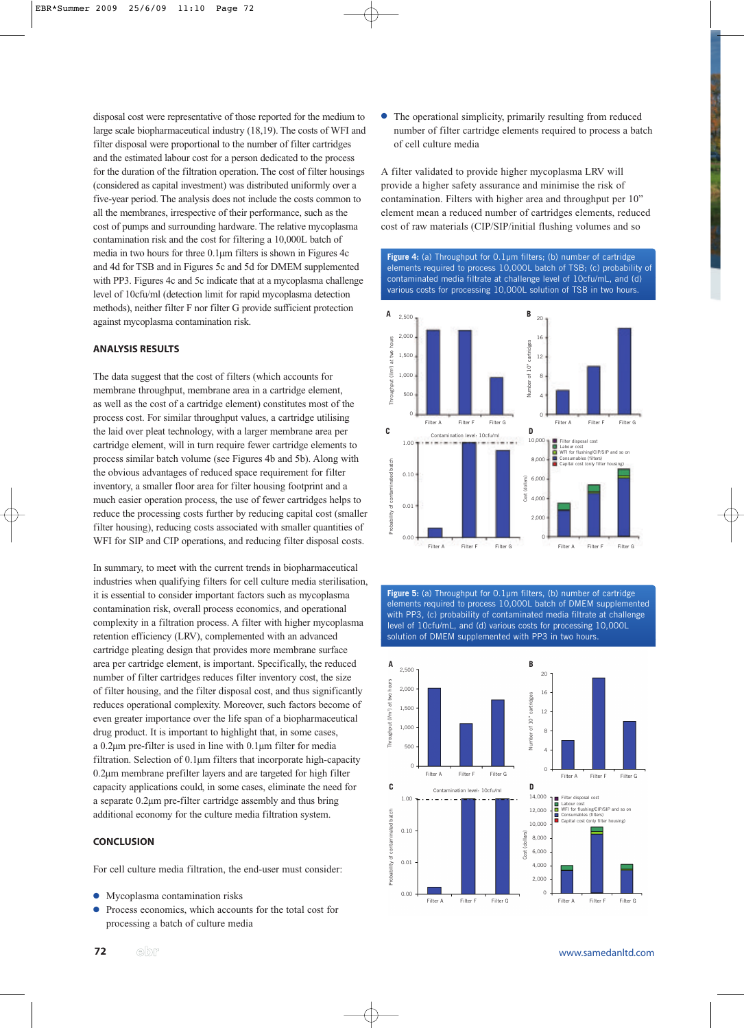disposal cost were representative of those reported for the medium to large scale biopharmaceutical industry (18,19). The costs of WFI and filter disposal were proportional to the number of filter cartridges and the estimated labour cost for a person dedicated to the process for the duration of the filtration operation. The cost of filter housings (considered as capital investment) was distributed uniformly over a five-year period. The analysis does not include the costs common to all the membranes, irrespective of their performance, such as the cost of pumps and surrounding hardware. The relative mycoplasma contamination risk and the cost for filtering a 10,000L batch of media in two hours for three 0.1µm filters is shown in Figures 4c and 4d for TSB and in Figures 5c and 5d for DMEM supplemented with PP3. Figures 4c and 5c indicate that at a mycoplasma challenge level of 10cfu/ml (detection limit for rapid mycoplasma detection methods), neither filter F nor filter G provide sufficient protection against mycoplasma contamination risk.

#### **ANALYSIS RESULTS**

The data suggest that the cost of filters (which accounts for membrane throughput, membrane area in a cartridge element, as well as the cost of a cartridge element) constitutes most of the process cost. For similar throughput values, a cartridge utilising the laid over pleat technology, with a larger membrane area per cartridge element, will in turn require fewer cartridge elements to process similar batch volume (see Figures 4b and 5b). Along with the obvious advantages of reduced space requirement for filter inventory, a smaller floor area for filter housing footprint and a much easier operation process, the use of fewer cartridges helps to reduce the processing costs further by reducing capital cost (smaller filter housing), reducing costs associated with smaller quantities of WFI for SIP and CIP operations, and reducing filter disposal costs.

In summary, to meet with the current trends in biopharmaceutical industries when qualifying filters for cell culture media sterilisation, it is essential to consider important factors such as mycoplasma contamination risk, overall process economics, and operational complexity in a filtration process. A filter with higher mycoplasma retention efficiency (LRV), complemented with an advanced cartridge pleating design that provides more membrane surface area per cartridge element, is important. Specifically, the reduced number of filter cartridges reduces filter inventory cost, the size of filter housing, and the filter disposal cost, and thus significantly reduces operational complexity. Moreover, such factors become of even greater importance over the life span of a biopharmaceutical drug product. It is important to highlight that, in some cases, a 0.2µm pre-filter is used in line with 0.1µm filter for media filtration. Selection of 0.1µm filters that incorporate high-capacity 0.2µm membrane prefilter layers and are targeted for high filter capacity applications could, in some cases, eliminate the need for a separate 0.2µm pre-filter cartridge assembly and thus bring additional economy for the culture media filtration system.

### **CONCLUSION**

For cell culture media filtration, the end-user must consider:

- Mycoplasma contamination risks
- Process economics, which accounts for the total cost for processing a batch of culture media

● The operational simplicity, primarily resulting from reduced number of filter cartridge elements required to process a batch of cell culture media

A filter validated to provide higher mycoplasma LRV will provide a higher safety assurance and minimise the risk of contamination. Filters with higher area and throughput per 10" element mean a reduced number of cartridges elements, reduced cost of raw materials (CIP/SIP/initial flushing volumes and so





**Figure 5:** (a) Throughput for 0.1µm filters, (b) number of cartridge elements required to process 10,000L batch of DMEM supplemented with PP3, (c) probability of contaminated media filtrate at challenge level of 10cfu/mL, and (d) various costs for processing 10,000L solution of DMEM supplemented with PP3 in two hours.